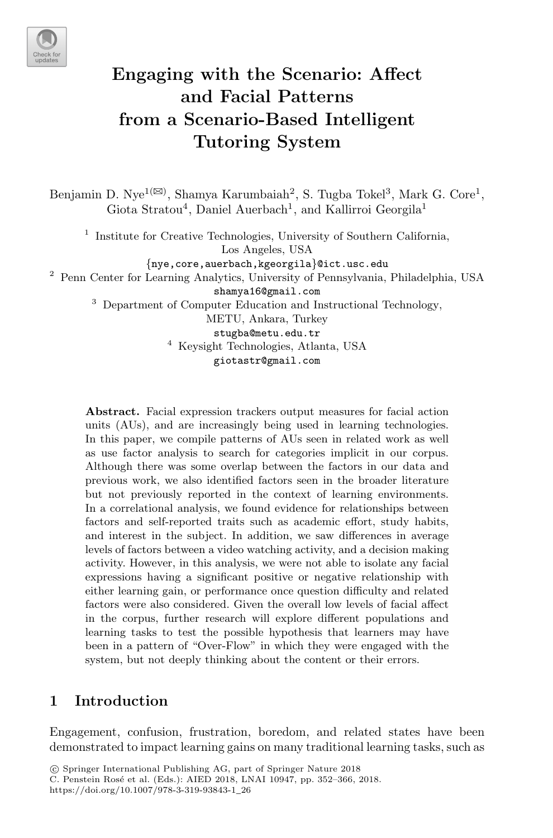

# **Engaging with the Scenario: Affect and Facial Patterns from a Scenario-Based Intelligent Tutoring System**

Benjamin D. Nye<sup>1( $\boxtimes$ )</sup>, Shamya Karumbaiah<sup>2</sup>, S. Tugba Tokel<sup>3</sup>, Mark G. Core<sup>1</sup>, Giota Stratou<sup>4</sup>, Daniel Auerbach<sup>1</sup>, and Kallirroi Georgila<sup>1</sup>

 $1$  Institute for Creative Technologies, University of Southern California, Los Angeles, USA *{*nye,core,auerbach,kgeorgila*}*@ict.usc.edu <sup>2</sup> Penn Center for Learning Analytics, University of Pennsylvania, Philadelphia, USA shamya16@gmail.com <sup>3</sup> Department of Computer Education and Instructional Technology, METU, Ankara, Turkey

> stugba@metu.edu.tr <sup>4</sup> Keysight Technologies, Atlanta, USA giotastr@gmail.com

**Abstract.** Facial expression trackers output measures for facial action units (AUs), and are increasingly being used in learning technologies. In this paper, we compile patterns of AUs seen in related work as well as use factor analysis to search for categories implicit in our corpus. Although there was some overlap between the factors in our data and previous work, we also identified factors seen in the broader literature but not previously reported in the context of learning environments. In a correlational analysis, we found evidence for relationships between factors and self-reported traits such as academic effort, study habits, and interest in the subject. In addition, we saw differences in average levels of factors between a video watching activity, and a decision making activity. However, in this analysis, we were not able to isolate any facial expressions having a significant positive or negative relationship with either learning gain, or performance once question difficulty and related factors were also considered. Given the overall low levels of facial affect in the corpus, further research will explore different populations and learning tasks to test the possible hypothesis that learners may have been in a pattern of "Over-Flow" in which they were engaged with the system, but not deeply thinking about the content or their errors.

# **1 Introduction**

Engagement, confusion, frustration, boredom, and related states have been demonstrated to impact learning gains on many traditional learning tasks, such as

C. Penstein Rosé et al. (Eds.): AIED 2018, LNAI 10947, pp. 352-366, 2018. https://doi.org/10.1007/978-3-319-93843-1\_26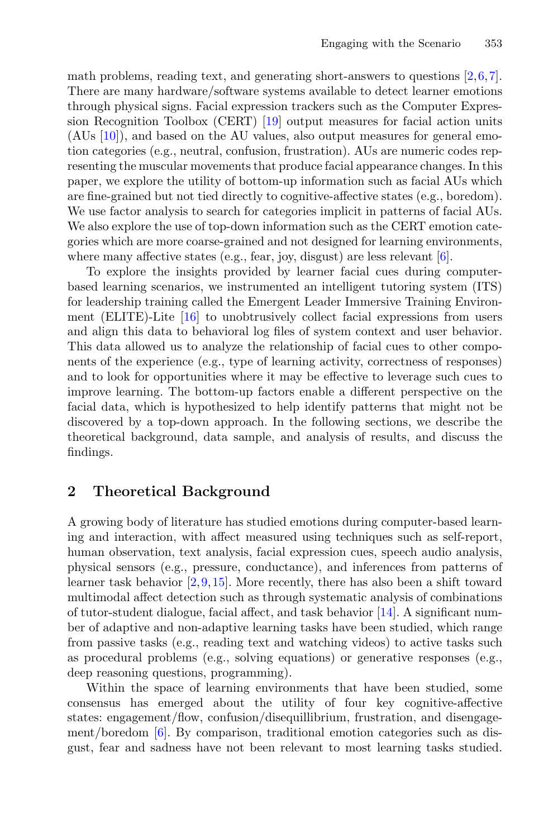math problems, reading text, and generating short-answers to questions  $[2,6,7]$  $[2,6,7]$  $[2,6,7]$  $[2,6,7]$ . There are many hardware/software systems available to detect learner emotions through physical signs. Facial expression trackers such as the Computer Expression Recognition Toolbox (CERT) [\[19](#page-14-0)] output measures for facial action units (AUs [\[10](#page-13-3)]), and based on the AU values, also output measures for general emotion categories (e.g., neutral, confusion, frustration). AUs are numeric codes representing the muscular movements that produce facial appearance changes. In this paper, we explore the utility of bottom-up information such as facial AUs which are fine-grained but not tied directly to cognitive-affective states (e.g., boredom). We use factor analysis to search for categories implicit in patterns of facial AUs. We also explore the use of top-down information such as the CERT emotion categories which are more coarse-grained and not designed for learning environments, where many affective states (e.g., fear, joy, disgust) are less relevant [\[6\]](#page-13-1).

To explore the insights provided by learner facial cues during computerbased learning scenarios, we instrumented an intelligent tutoring system (ITS) for leadership training called the Emergent Leader Immersive Training Environment (ELITE)-Lite [\[16](#page-14-1)] to unobtrusively collect facial expressions from users and align this data to behavioral log files of system context and user behavior. This data allowed us to analyze the relationship of facial cues to other components of the experience (e.g., type of learning activity, correctness of responses) and to look for opportunities where it may be effective to leverage such cues to improve learning. The bottom-up factors enable a different perspective on the facial data, which is hypothesized to help identify patterns that might not be discovered by a top-down approach. In the following sections, we describe the theoretical background, data sample, and analysis of results, and discuss the findings.

## <span id="page-1-0"></span>**2 Theoretical Background**

A growing body of literature has studied emotions during computer-based learning and interaction, with affect measured using techniques such as self-report, human observation, text analysis, facial expression cues, speech audio analysis, physical sensors (e.g., pressure, conductance), and inferences from patterns of learner task behavior  $[2,9,15]$  $[2,9,15]$  $[2,9,15]$  $[2,9,15]$ . More recently, there has also been a shift toward multimodal affect detection such as through systematic analysis of combinations of tutor-student dialogue, facial affect, and task behavior [\[14](#page-14-3)]. A significant number of adaptive and non-adaptive learning tasks have been studied, which range from passive tasks (e.g., reading text and watching videos) to active tasks such as procedural problems (e.g., solving equations) or generative responses (e.g., deep reasoning questions, programming).

Within the space of learning environments that have been studied, some consensus has emerged about the utility of four key cognitive-affective states: engagement/flow, confusion/disequillibrium, frustration, and disengagement/boredom [\[6](#page-13-1)]. By comparison, traditional emotion categories such as disgust, fear and sadness have not been relevant to most learning tasks studied.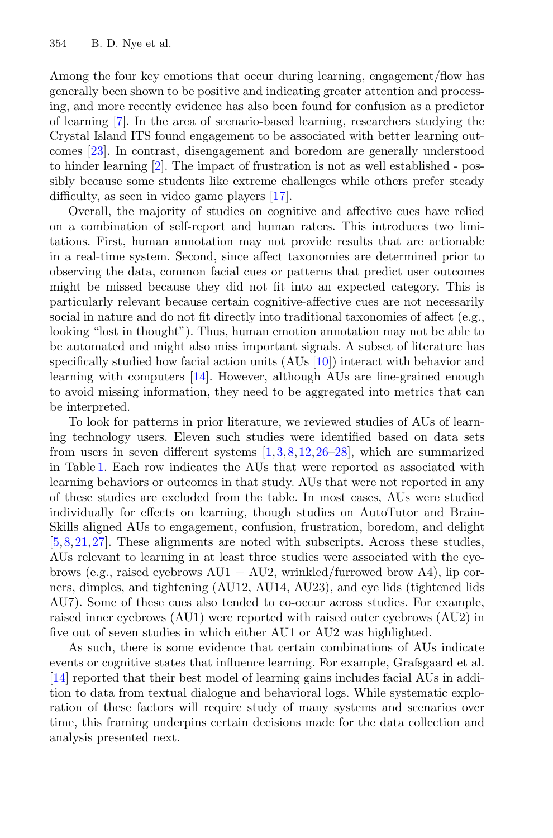Among the four key emotions that occur during learning, engagement/flow has generally been shown to be positive and indicating greater attention and processing, and more recently evidence has also been found for confusion as a predictor of learning [\[7\]](#page-13-2). In the area of scenario-based learning, researchers studying the Crystal Island ITS found engagement to be associated with better learning outcomes [\[23](#page-14-4)]. In contrast, disengagement and boredom are generally understood to hinder learning [\[2\]](#page-13-0). The impact of frustration is not as well established - possibly because some students like extreme challenges while others prefer steady difficulty, as seen in video game players [\[17\]](#page-14-5).

Overall, the majority of studies on cognitive and affective cues have relied on a combination of self-report and human raters. This introduces two limitations. First, human annotation may not provide results that are actionable in a real-time system. Second, since affect taxonomies are determined prior to observing the data, common facial cues or patterns that predict user outcomes might be missed because they did not fit into an expected category. This is particularly relevant because certain cognitive-affective cues are not necessarily social in nature and do not fit directly into traditional taxonomies of affect (e.g., looking "lost in thought"). Thus, human emotion annotation may not be able to be automated and might also miss important signals. A subset of literature has specifically studied how facial action units (AUs [\[10](#page-13-3)]) interact with behavior and learning with computers [\[14\]](#page-14-3). However, although AUs are fine-grained enough to avoid missing information, they need to be aggregated into metrics that can be interpreted.

To look for patterns in prior literature, we reviewed studies of AUs of learning technology users. Eleven such studies were identified based on data sets from users in seven different systems  $[1,3,8,12,26-28]$  $[1,3,8,12,26-28]$  $[1,3,8,12,26-28]$  $[1,3,8,12,26-28]$  $[1,3,8,12,26-28]$  $[1,3,8,12,26-28]$ , which are summarized in Table [1.](#page-3-0) Each row indicates the AUs that were reported as associated with learning behaviors or outcomes in that study. AUs that were not reported in any of these studies are excluded from the table. In most cases, AUs were studied individually for effects on learning, though studies on AutoTutor and Brain-Skills aligned AUs to engagement, confusion, frustration, boredom, and delight [\[5](#page-13-9),[8,](#page-13-7)[21](#page-14-8)[,27](#page-14-9)]. These alignments are noted with subscripts. Across these studies, AUs relevant to learning in at least three studies were associated with the eyebrows (e.g., raised eyebrows  $AUI + AU2$ , wrinkled/furrowed brow A4), lip corners, dimples, and tightening (AU12, AU14, AU23), and eye lids (tightened lids AU7). Some of these cues also tended to co-occur across studies. For example, raised inner eyebrows (AU1) were reported with raised outer eyebrows (AU2) in five out of seven studies in which either AU1 or AU2 was highlighted.

As such, there is some evidence that certain combinations of AUs indicate events or cognitive states that influence learning. For example, Grafsgaard et al. [\[14](#page-14-3)] reported that their best model of learning gains includes facial AUs in addition to data from textual dialogue and behavioral logs. While systematic exploration of these factors will require study of many systems and scenarios over time, this framing underpins certain decisions made for the data collection and analysis presented next.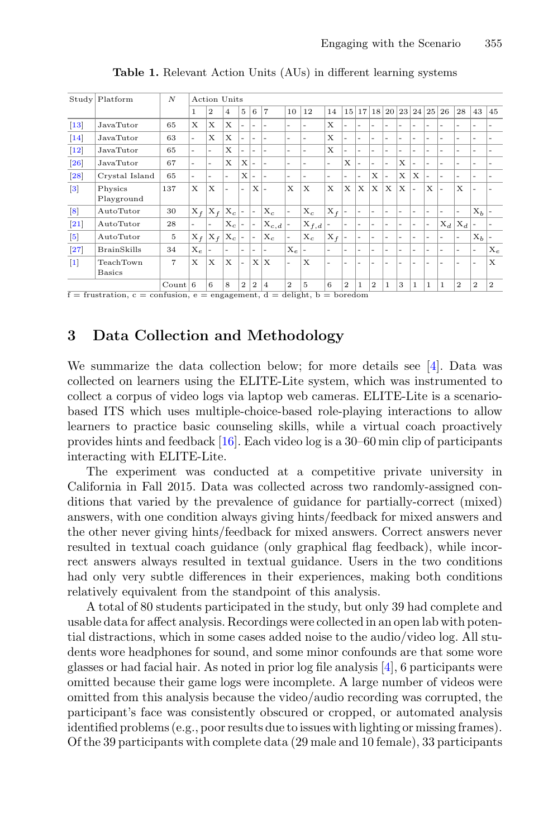| Study                              | Platform                   | N              | <b>Action Units</b>   |                          |                          |                          |                          |                          |                |             |                          |                          |                |                          |              |                          |    |                          |                          |                          |                          |                          |
|------------------------------------|----------------------------|----------------|-----------------------|--------------------------|--------------------------|--------------------------|--------------------------|--------------------------|----------------|-------------|--------------------------|--------------------------|----------------|--------------------------|--------------|--------------------------|----|--------------------------|--------------------------|--------------------------|--------------------------|--------------------------|
|                                    |                            |                | 1                     | $\overline{2}$           | $\overline{4}$           | 5                        | 6                        | $\overline{7}$           | 10             | 12          | 14                       | 15                       | 17             | 18                       | 20           | 23                       | 24 | 25                       | 26                       | 28                       | 43                       | 45                       |
| $[13]$                             | JavaTutor                  | 65             | X                     | X                        | X                        | $\blacksquare$           | $\sim$                   | $\overline{\phantom{a}}$ | ٠              | ٠           | X                        | $\overline{\phantom{0}}$ | $\blacksquare$ | ٠                        |              | ٠                        | ٠  | ٠                        | ٠                        | $\overline{\phantom{0}}$ | ٠                        |                          |
| $[14]$                             | JavaTutor                  | 63             | $\tilde{\phantom{a}}$ | X                        | X                        | ٠                        | $\overline{\phantom{a}}$ | $\overline{\phantom{a}}$ | ٠              |             | X                        | ٠                        | $\sim$         | ٠                        | -            | $\overline{\phantom{a}}$ | ۰  | $\overline{\phantom{a}}$ | $\overline{\phantom{0}}$ | ۰                        | $\overline{\phantom{0}}$ |                          |
| $[12]$                             | JavaTutor                  | 65             | ٠                     | ٠                        | X                        | $\overline{\phantom{a}}$ | $\overline{\phantom{a}}$ | $\overline{\phantom{a}}$ | ٠              |             | X                        | $\overline{\phantom{0}}$ | ٠              | $\overline{\phantom{0}}$ |              | $\overline{\phantom{a}}$ | ۰  | -                        | $\overline{\phantom{0}}$ | ۰                        | -                        |                          |
| $[26]$                             | JavaTutor                  | 67             | ٠                     | ٠                        | X                        | X                        | $\overline{\phantom{a}}$ | $\overline{\phantom{a}}$ | ٠              |             | $\overline{\phantom{0}}$ | X                        | $\equiv$       | $\equiv$                 | $\sim$       | $\mathbf x$              | ٠  | ٠                        | $\overline{\phantom{a}}$ | ٠                        | ٠                        |                          |
| [28]                               | Crystal Island             | 65             | ٠                     | $\overline{\phantom{0}}$ | $\overline{\phantom{0}}$ | X                        | ٠                        | $\overline{\phantom{a}}$ | ٠              |             | $\overline{\phantom{0}}$ | $\overline{\phantom{0}}$ | ٠              | X                        | ٠            | X                        | Х  | -                        | $\overline{\phantom{0}}$ | ۰                        | $\overline{\phantom{a}}$ |                          |
| 3                                  | Physics<br>Playground      | 137            | X                     | X                        | ٠                        | $\mathbf{r}$             | X                        |                          | X              | $\mathbf x$ | X                        | X                        | X              | X                        | $\mathbf{x}$ | $\mathbf{x}$             | L. | X                        | $\tilde{\phantom{a}}$    | X                        |                          |                          |
| $\lceil 8 \rceil$                  | AutoTutor                  | 30             |                       | $X_f   X_f$              | $X_c$                    | $\overline{\phantom{a}}$ | $\overline{\phantom{a}}$ | $X_c$                    | $\blacksquare$ | $X_c$       | $X_f$                    | ı —                      | $\sim$         | ٠                        |              | $\overline{\phantom{a}}$ | ٠  | ٠                        | ٠                        | ٠                        | $X_b$                    | $\overline{\phantom{a}}$ |
| $[21]$                             | AutoTutor                  | 28             | $\blacksquare$        | $\sim$                   | $X_c$                    | $\overline{\phantom{a}}$ | $\sim$                   | $\mathbf{X}_{c,d}$       | $\blacksquare$ | $X_{f,d}$   | $\sim$                   | $\overline{\phantom{0}}$ | ٠              | ٠                        | -            | $\overline{\phantom{a}}$ | ٠  | ٠                        | $X_d$                    | $\mathbf{x}_d$           | ٠                        |                          |
| $\vert 5 \vert$                    | AutoTutor                  | 5              |                       | $X_f   X_f   X_c$        |                          | $\overline{\phantom{a}}$ | $\sim$                   | $X_c$                    | $\frac{1}{2}$  | $X_c$       | $X_f$                    | ı —                      | ٠              | ٠                        |              | $\overline{\phantom{a}}$ | ۰  | $\overline{\phantom{0}}$ |                          | ٠                        | $X_b$                    |                          |
| $[27]$                             | <b>BrainSkills</b>         | 34             | $X_e$                 | $\sim$                   | $\sim$                   | н.                       | $\overline{\phantom{a}}$ | $\overline{\phantom{a}}$ | $X_{\epsilon}$ |             | н.                       | ÷                        | ÷              | $\sim$                   |              | $\sim$                   | ۰  | ۰                        |                          | ۰                        | ٠                        | $X_{\epsilon}$           |
| $\boxed{1}$                        | TeachTown<br><b>Basics</b> | $\overline{7}$ | X                     | X                        | X                        | ÷.                       |                          | X X                      | $\equiv$       | X           | ٠                        | ۰                        | ÷              | $\sim$                   |              | ÷                        | ۰  | $\sim$                   |                          | ٠                        | ٠                        | X                        |
| $\sim$<br>$\overline{\phantom{a}}$ |                            | Count   6      |                       | 6                        | 8                        | $\overline{2}$           | $\overline{2}$           | 4                        | $\overline{2}$ | 5           | 6                        | $\overline{2}$           | 1              | $\overline{2}$           | 1            | 3                        | 1  | $\mathbf{1}$             | 1                        | $\overline{2}$           | $\overline{2}$           | $\overline{2}$           |

<span id="page-3-0"></span>**Table 1.** Relevant Action Units (AUs) in different learning systems

 $f =$  frustration,  $c =$  confusion,  $e =$  engagement,  $d =$  delight,  $b =$  boredom

## **3 Data Collection and Methodology**

We summarize the data collection below; for more details see [\[4\]](#page-13-11). Data was collected on learners using the ELITE-Lite system, which was instrumented to collect a corpus of video logs via laptop web cameras. ELITE-Lite is a scenariobased ITS which uses multiple-choice-based role-playing interactions to allow learners to practice basic counseling skills, while a virtual coach proactively provides hints and feedback [\[16](#page-14-1)]. Each video log is a 30–60 min clip of participants interacting with ELITE-Lite.

The experiment was conducted at a competitive private university in California in Fall 2015. Data was collected across two randomly-assigned conditions that varied by the prevalence of guidance for partially-correct (mixed) answers, with one condition always giving hints/feedback for mixed answers and the other never giving hints/feedback for mixed answers. Correct answers never resulted in textual coach guidance (only graphical flag feedback), while incorrect answers always resulted in textual guidance. Users in the two conditions had only very subtle differences in their experiences, making both conditions relatively equivalent from the standpoint of this analysis.

A total of 80 students participated in the study, but only 39 had complete and usable data for affect analysis. Recordings were collected in an open lab with potential distractions, which in some cases added noise to the audio/video log. All students wore headphones for sound, and some minor confounds are that some wore glasses or had facial hair. As noted in prior log file analysis [\[4](#page-13-11)], 6 participants were omitted because their game logs were incomplete. A large number of videos were omitted from this analysis because the video/audio recording was corrupted, the participant's face was consistently obscured or cropped, or automated analysis identified problems (e.g., poor results due to issues with lighting or missing frames). Of the 39 participants with complete data (29 male and 10 female), 33 participants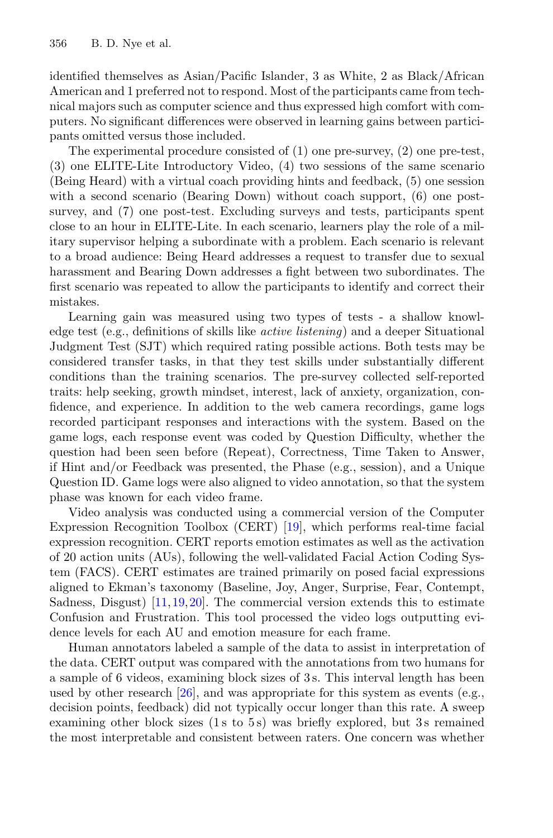identified themselves as Asian/Pacific Islander, 3 as White, 2 as Black/African American and 1 preferred not to respond. Most of the participants came from technical majors such as computer science and thus expressed high comfort with computers. No significant differences were observed in learning gains between participants omitted versus those included.

The experimental procedure consisted of (1) one pre-survey, (2) one pre-test, (3) one ELITE-Lite Introductory Video, (4) two sessions of the same scenario (Being Heard) with a virtual coach providing hints and feedback, (5) one session with a second scenario (Bearing Down) without coach support, (6) one postsurvey, and (7) one post-test. Excluding surveys and tests, participants spent close to an hour in ELITE-Lite. In each scenario, learners play the role of a military supervisor helping a subordinate with a problem. Each scenario is relevant to a broad audience: Being Heard addresses a request to transfer due to sexual harassment and Bearing Down addresses a fight between two subordinates. The first scenario was repeated to allow the participants to identify and correct their mistakes.

Learning gain was measured using two types of tests - a shallow knowledge test (e.g., definitions of skills like *active listening*) and a deeper Situational Judgment Test (SJT) which required rating possible actions. Both tests may be considered transfer tasks, in that they test skills under substantially different conditions than the training scenarios. The pre-survey collected self-reported traits: help seeking, growth mindset, interest, lack of anxiety, organization, confidence, and experience. In addition to the web camera recordings, game logs recorded participant responses and interactions with the system. Based on the game logs, each response event was coded by Question Difficulty, whether the question had been seen before (Repeat), Correctness, Time Taken to Answer, if Hint and/or Feedback was presented, the Phase (e.g., session), and a Unique Question ID. Game logs were also aligned to video annotation, so that the system phase was known for each video frame.

Video analysis was conducted using a commercial version of the Computer Expression Recognition Toolbox (CERT) [\[19\]](#page-14-0), which performs real-time facial expression recognition. CERT reports emotion estimates as well as the activation of 20 action units (AUs), following the well-validated Facial Action Coding System (FACS). CERT estimates are trained primarily on posed facial expressions aligned to Ekman's taxonomy (Baseline, Joy, Anger, Surprise, Fear, Contempt, Sadness, Disgust) [\[11](#page-13-12),[19,](#page-14-0)[20\]](#page-14-10). The commercial version extends this to estimate Confusion and Frustration. This tool processed the video logs outputting evidence levels for each AU and emotion measure for each frame.

Human annotators labeled a sample of the data to assist in interpretation of the data. CERT output was compared with the annotations from two humans for a sample of 6 videos, examining block sizes of 3 s. This interval length has been used by other research  $[26]$  $[26]$ , and was appropriate for this system as events (e.g., decision points, feedback) did not typically occur longer than this rate. A sweep examining other block sizes (1s to 5s) was briefly explored, but 3s remained the most interpretable and consistent between raters. One concern was whether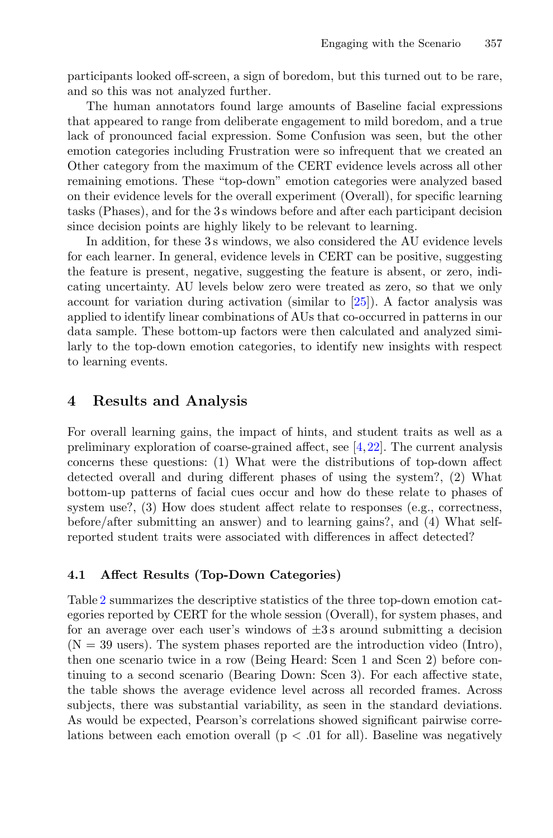participants looked off-screen, a sign of boredom, but this turned out to be rare, and so this was not analyzed further.

The human annotators found large amounts of Baseline facial expressions that appeared to range from deliberate engagement to mild boredom, and a true lack of pronounced facial expression. Some Confusion was seen, but the other emotion categories including Frustration were so infrequent that we created an Other category from the maximum of the CERT evidence levels across all other remaining emotions. These "top-down" emotion categories were analyzed based on their evidence levels for the overall experiment (Overall), for specific learning tasks (Phases), and for the 3 s windows before and after each participant decision since decision points are highly likely to be relevant to learning.

In addition, for these 3 s windows, we also considered the AU evidence levels for each learner. In general, evidence levels in CERT can be positive, suggesting the feature is present, negative, suggesting the feature is absent, or zero, indicating uncertainty. AU levels below zero were treated as zero, so that we only account for variation during activation (similar to [\[25](#page-14-11)]). A factor analysis was applied to identify linear combinations of AUs that co-occurred in patterns in our data sample. These bottom-up factors were then calculated and analyzed similarly to the top-down emotion categories, to identify new insights with respect to learning events.

## **4 Results and Analysis**

For overall learning gains, the impact of hints, and student traits as well as a preliminary exploration of coarse-grained affect, see [\[4](#page-13-11)[,22\]](#page-14-12). The current analysis concerns these questions: (1) What were the distributions of top-down affect detected overall and during different phases of using the system?, (2) What bottom-up patterns of facial cues occur and how do these relate to phases of system use?, (3) How does student affect relate to responses (e.g., correctness, before/after submitting an answer) and to learning gains?, and (4) What selfreported student traits were associated with differences in affect detected?

## **4.1 Affect Results (Top-Down Categories)**

Table [2](#page-6-0) summarizes the descriptive statistics of the three top-down emotion categories reported by CERT for the whole session (Overall), for system phases, and for an average over each user's windows of  $\pm 3$  s around submitting a decision  $(N = 39 \text{ users})$ . The system phases reported are the introduction video (Intro), then one scenario twice in a row (Being Heard: Scen 1 and Scen 2) before continuing to a second scenario (Bearing Down: Scen 3). For each affective state, the table shows the average evidence level across all recorded frames. Across subjects, there was substantial variability, as seen in the standard deviations. As would be expected, Pearson's correlations showed significant pairwise correlations between each emotion overall  $(p < .01$  for all). Baseline was negatively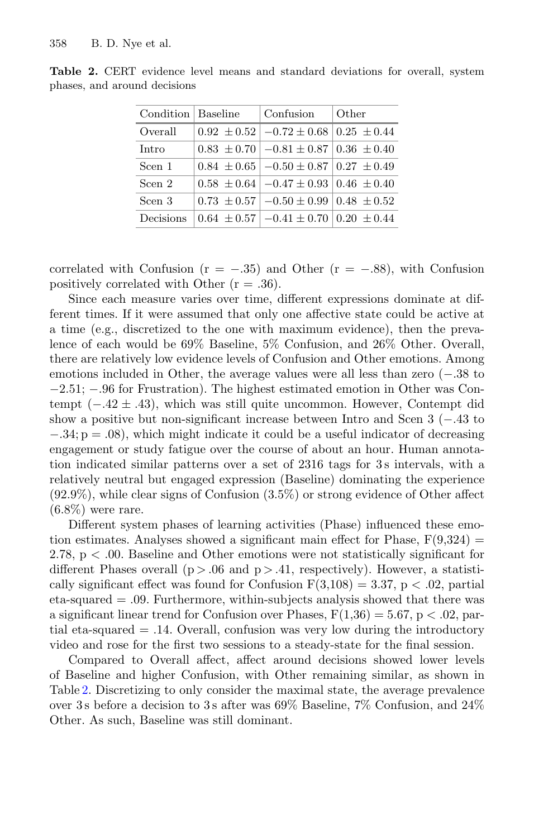<span id="page-6-0"></span>

| Condition   Baseline | Confusion                                            | Other |  |  |  |
|----------------------|------------------------------------------------------|-------|--|--|--|
| Overall              | $0.92 \pm 0.52$   $-0.72 \pm 0.68$   $0.25 \pm 0.44$ |       |  |  |  |
| Intro                | $0.83 \pm 0.70$   $-0.81 \pm 0.87$   $0.36 \pm 0.40$ |       |  |  |  |
| Scen 1               | $0.84 \pm 0.65$   $-0.50 \pm 0.87$   $0.27 \pm 0.49$ |       |  |  |  |
| Scen 2               | $0.58 \pm 0.64$   $-0.47 \pm 0.93$   $0.46 \pm 0.40$ |       |  |  |  |
| Scen 3               | $0.73 \pm 0.57$   $-0.50 \pm 0.99$   $0.48 \pm 0.52$ |       |  |  |  |
| Decisions            | $0.64 \pm 0.57$   $-0.41 \pm 0.70$   $0.20 \pm 0.44$ |       |  |  |  |

**Table 2.** CERT evidence level means and standard deviations for overall, system phases, and around decisions

correlated with Confusion (r = *−.*35) and Other (r = *−.*88), with Confusion positively correlated with Other  $(r = .36)$ .

Since each measure varies over time, different expressions dominate at different times. If it were assumed that only one affective state could be active at a time (e.g., discretized to the one with maximum evidence), then the prevalence of each would be 69% Baseline, 5% Confusion, and 26% Other. Overall, there are relatively low evidence levels of Confusion and Other emotions. Among emotions included in Other, the average values were all less than zero (*−.*38 to *−*2*.*51; *−.*96 for Frustration). The highest estimated emotion in Other was Contempt (*−.*42 *± .*43), which was still quite uncommon. However, Contempt did show a positive but non-significant increase between Intro and Scen 3 (*−.*43 to *−.*34; p = *.*08), which might indicate it could be a useful indicator of decreasing engagement or study fatigue over the course of about an hour. Human annotation indicated similar patterns over a set of 2316 tags for 3 s intervals, with a relatively neutral but engaged expression (Baseline) dominating the experience (92.9%), while clear signs of Confusion (3.5%) or strong evidence of Other affect  $(6.8\%)$  were rare.

Different system phases of learning activities (Phase) influenced these emotion estimates. Analyses showed a significant main effect for Phase,  $F(9,324) =$ 2.78, p *<* .00. Baseline and Other emotions were not statistically significant for different Phases overall ( $p > .06$  and  $p > .41$ , respectively). However, a statistically significant effect was found for Confusion  $F(3,108) = 3.37$ ,  $p < .02$ , partial eta-squared = .09. Furthermore, within-subjects analysis showed that there was a significant linear trend for Confusion over Phases, F(1,36) = 5.67, p *<* .02, partial eta-squared = .14. Overall, confusion was very low during the introductory video and rose for the first two sessions to a steady-state for the final session.

Compared to Overall affect, affect around decisions showed lower levels of Baseline and higher Confusion, with Other remaining similar, as shown in Table [2.](#page-6-0) Discretizing to only consider the maximal state, the average prevalence over 3 s before a decision to 3 s after was 69% Baseline, 7% Confusion, and 24% Other. As such, Baseline was still dominant.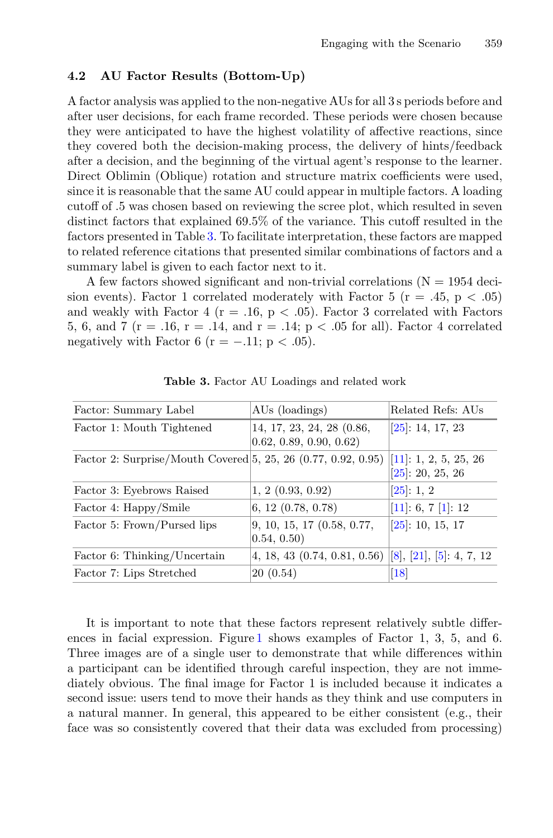#### **4.2 AU Factor Results (Bottom-Up)**

A factor analysis was applied to the non-negative AUs for all 3 s periods before and after user decisions, for each frame recorded. These periods were chosen because they were anticipated to have the highest volatility of affective reactions, since they covered both the decision-making process, the delivery of hints/feedback after a decision, and the beginning of the virtual agent's response to the learner. Direct Oblimin (Oblique) rotation and structure matrix coefficients were used, since it is reasonable that the same AU could appear in multiple factors. A loading cutoff of .5 was chosen based on reviewing the scree plot, which resulted in seven distinct factors that explained 69.5% of the variance. This cutoff resulted in the factors presented in Table [3.](#page-7-0) To facilitate interpretation, these factors are mapped to related reference citations that presented similar combinations of factors and a summary label is given to each factor next to it.

A few factors showed significant and non-trivial correlations ( $N = 1954$  decision events). Factor 1 correlated moderately with Factor 5 ( $r = .45$ ,  $p < .05$ ) and weakly with Factor 4 ( $r = .16$ ,  $p < .05$ ). Factor 3 correlated with Factors 5, 6, and 7 (r = .16, r = .14, and r = .14; p *<* .05 for all). Factor 4 correlated negatively with Factor 6 ( $r = -0.11$ ; p < .05).

| Factor: Summary Label                                                                 | AUs (loadings)                                           | Related Refs: AUs   |
|---------------------------------------------------------------------------------------|----------------------------------------------------------|---------------------|
| Factor 1: Mouth Tightened                                                             | 14, 17, 23, 24, 28 (0.86,                                | [25]: 14, 17, 23    |
|                                                                                       | 0.62, 0.89, 0.90, 0.62)                                  |                     |
| Factor 2: Surprise/Mouth Covered $5, 25, 26$ (0.77, 0.92, 0.95) [11]: 1, 2, 5, 25, 26 |                                                          |                     |
|                                                                                       |                                                          | $[25]$ : 20, 25, 26 |
| Factor 3: Eyebrows Raised                                                             | $1, 2$ (0.93, 0.92)                                      | [25]: 1, 2          |
| Factor 4: Happy/Smile                                                                 | $6, 12$ $(0.78, 0.78)$                                   | [11]: 6, 7 [1]: 12  |
| Factor 5: Frown/Pursed lips                                                           | 9, 10, 15, 17 (0.58, 0.77,                               | [25]: 10, 15, 17    |
|                                                                                       | 0.54, 0.50)                                              |                     |
| Factor 6: Thinking/Uncertain                                                          | $(4, 18, 43, 0.74, 0.81, 0.56)$ [8], [21], [5]: 4, 7, 12 |                     |
| Factor 7: Lips Stretched                                                              | 20(0.54)                                                 | 18                  |

<span id="page-7-0"></span>**Table 3.** Factor AU Loadings and related work

It is important to note that these factors represent relatively subtle differences in facial expression. Figure [1](#page-8-0) shows examples of Factor 1, 3, 5, and 6. Three images are of a single user to demonstrate that while differences within a participant can be identified through careful inspection, they are not immediately obvious. The final image for Factor 1 is included because it indicates a second issue: users tend to move their hands as they think and use computers in a natural manner. In general, this appeared to be either consistent (e.g., their face was so consistently covered that their data was excluded from processing)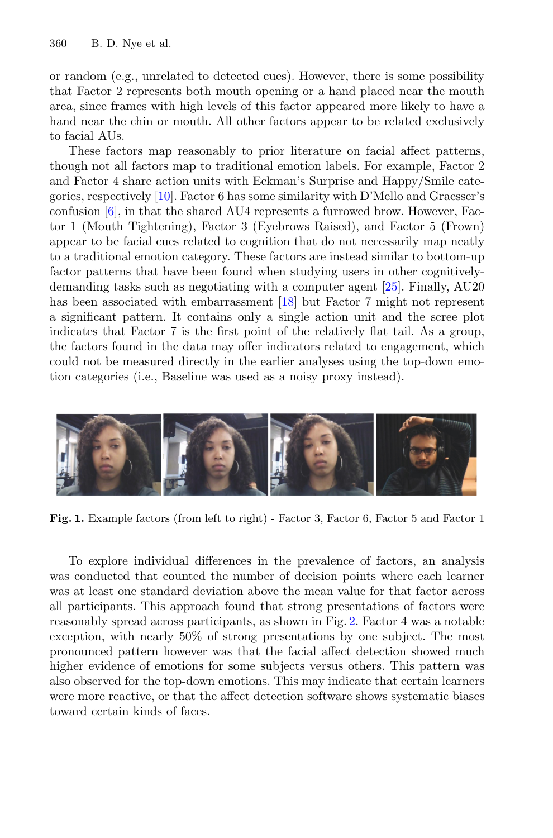or random (e.g., unrelated to detected cues). However, there is some possibility that Factor 2 represents both mouth opening or a hand placed near the mouth area, since frames with high levels of this factor appeared more likely to have a hand near the chin or mouth. All other factors appear to be related exclusively to facial AUs.

These factors map reasonably to prior literature on facial affect patterns, though not all factors map to traditional emotion labels. For example, Factor 2 and Factor 4 share action units with Eckman's Surprise and Happy/Smile categories, respectively [\[10](#page-13-3)]. Factor 6 has some similarity with D'Mello and Graesser's confusion  $[6]$ , in that the shared AU4 represents a furrowed brow. However, Factor 1 (Mouth Tightening), Factor 3 (Eyebrows Raised), and Factor 5 (Frown) appear to be facial cues related to cognition that do not necessarily map neatly to a traditional emotion category. These factors are instead similar to bottom-up factor patterns that have been found when studying users in other cognitivelydemanding tasks such as negotiating with a computer agent [\[25](#page-14-11)]. Finally, AU20 has been associated with embarrassment [\[18\]](#page-14-13) but Factor 7 might not represent a significant pattern. It contains only a single action unit and the scree plot indicates that Factor 7 is the first point of the relatively flat tail. As a group, the factors found in the data may offer indicators related to engagement, which could not be measured directly in the earlier analyses using the top-down emotion categories (i.e., Baseline was used as a noisy proxy instead).



**Fig. 1.** Example factors (from left to right) - Factor 3, Factor 6, Factor 5 and Factor 1

<span id="page-8-0"></span>To explore individual differences in the prevalence of factors, an analysis was conducted that counted the number of decision points where each learner was at least one standard deviation above the mean value for that factor across all participants. This approach found that strong presentations of factors were reasonably spread across participants, as shown in Fig. [2.](#page-9-0) Factor 4 was a notable exception, with nearly 50% of strong presentations by one subject. The most pronounced pattern however was that the facial affect detection showed much higher evidence of emotions for some subjects versus others. This pattern was also observed for the top-down emotions. This may indicate that certain learners were more reactive, or that the affect detection software shows systematic biases toward certain kinds of faces.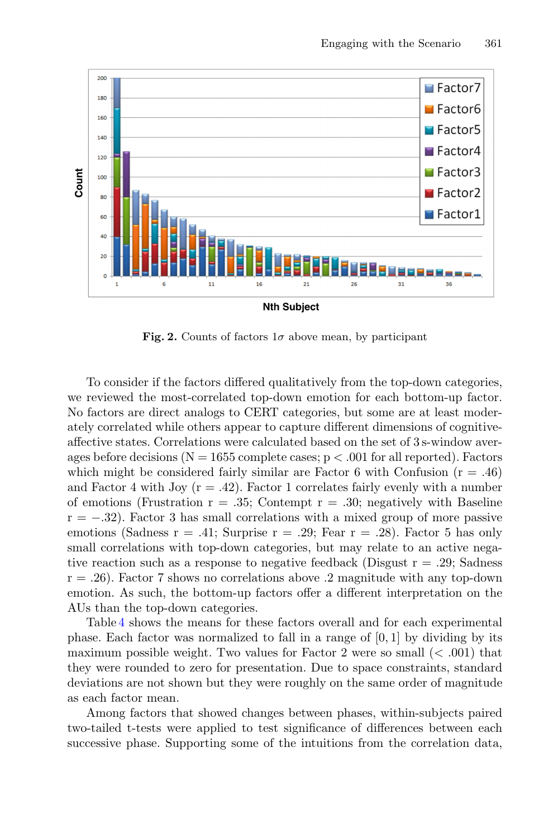

<span id="page-9-0"></span>**Fig. 2.** Counts of factors  $1\sigma$  above mean, by participant

To consider if the factors differed qualitatively from the top-down categories, we reviewed the most-correlated top-down emotion for each bottom-up factor. No factors are direct analogs to CERT categories, but some are at least moderately correlated while others appear to capture different dimensions of cognitiveaffective states. Correlations were calculated based on the set of 3 s-window averages before decisions ( $N = 1655$  complete cases;  $p < .001$  for all reported). Factors which might be considered fairly similar are Factor 6 with Confusion  $(r = .46)$ and Factor 4 with Joy  $(r = .42)$ . Factor 1 correlates fairly evenly with a number of emotions (Frustration  $r = .35$ ; Contempt  $r = .30$ ; negatively with Baseline r = *−.*32). Factor 3 has small correlations with a mixed group of more passive emotions (Sadness  $r = .41$ ; Surprise  $r = .29$ ; Fear  $r = .28$ ). Factor 5 has only small correlations with top-down categories, but may relate to an active negative reaction such as a response to negative feedback (Disgust  $r = .29$ ; Sadness  $r = .26$ ). Factor 7 shows no correlations above .2 magnitude with any top-down emotion. As such, the bottom-up factors offer a different interpretation on the AUs than the top-down categories.

Table [4](#page-10-0) shows the means for these factors overall and for each experimental phase. Each factor was normalized to fall in a range of [0, 1] by dividing by its maximum possible weight. Two values for Factor 2 were so small (*<* .001) that they were rounded to zero for presentation. Due to space constraints, standard deviations are not shown but they were roughly on the same order of magnitude as each factor mean.

Among factors that showed changes between phases, within-subjects paired two-tailed t-tests were applied to test significance of differences between each successive phase. Supporting some of the intuitions from the correlation data,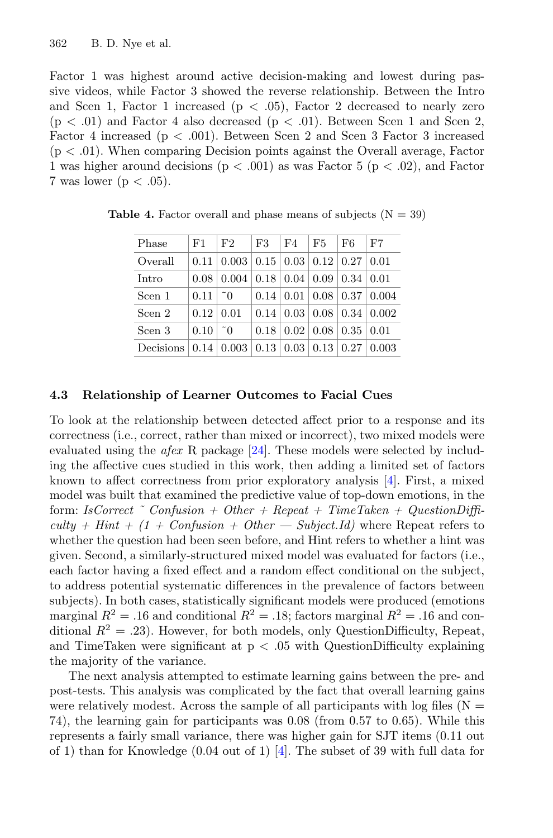Factor 1 was highest around active decision-making and lowest during passive videos, while Factor 3 showed the reverse relationship. Between the Intro and Scen 1, Factor 1 increased  $(p < .05)$ , Factor 2 decreased to nearly zero  $(p < .01)$  and Factor 4 also decreased  $(p < .01)$ . Between Scen 1 and Scen 2, Factor 4 increased (p *<* .001). Between Scen 2 and Scen 3 Factor 3 increased (p *<* .01). When comparing Decision points against the Overall average, Factor 1 was higher around decisions (p *<* .001) as was Factor 5 (p *<* .02), and Factor 7 was lower (p *<* .05).

<span id="page-10-0"></span>

| Phase     | F1   | F2                               | F3   | F4                    | F5               | F6              | $_{\rm F7}$ |
|-----------|------|----------------------------------|------|-----------------------|------------------|-----------------|-------------|
| Overall   | 0.11 | $0.003 \mid 0.15 \mid 0.03 \mid$ |      |                       | $0.12 \mid 0.27$ |                 | 0.01        |
| Intro     | 0.08 | 0.004                            |      | $0.18 \mid 0.04 \mid$ | 0.09             | 0.34            | 0.01        |
| Scen 1    | 0.11 | $\tilde{0}$                      |      | $0.14 \pm 0.01$       | 0.08             | 0.37            | 0.004       |
| Scen 2    | 0.12 | 0.01                             | 0.14 | $\pm 0.03$            | 0.08             | 0.34            | 0.002       |
| Scen 3    | 0.10 | $\tilde{0}$                      | 0.18 | 0.02                  | 0.08             | $0.35 \pm 0.01$ |             |
| Decisions | 0.14 | 0.003                            | 0.13 | $\pm 0.03$            | 0.13             | 0.27            | 0.003       |

**Table 4.** Factor overall and phase means of subjects  $(N = 39)$ 

#### **4.3 Relationship of Learner Outcomes to Facial Cues**

To look at the relationship between detected affect prior to a response and its correctness (i.e., correct, rather than mixed or incorrect), two mixed models were evaluated using the *afex* R package [\[24\]](#page-14-14). These models were selected by including the affective cues studied in this work, then adding a limited set of factors known to affect correctness from prior exploratory analysis [\[4\]](#page-13-11). First, a mixed model was built that examined the predictive value of top-down emotions, in the form: *IsCorrect ˜ Confusion + Other + Repeat + TimeTaken + QuestionDiffi-* $\textit{culty} + \textit{Hint} + (1 + \textit{Confusion} + \textit{Other} - \textit{Subject.} Id)$  where Repeat refers to whether the question had been seen before, and Hint refers to whether a hint was given. Second, a similarly-structured mixed model was evaluated for factors (i.e., each factor having a fixed effect and a random effect conditional on the subject, to address potential systematic differences in the prevalence of factors between subjects). In both cases, statistically significant models were produced (emotions marginal  $R^2 = .16$  and conditional  $R^2 = .18$ ; factors marginal  $R^2 = .16$  and conditional  $R^2 = .23$ ). However, for both models, only QuestionDifficulty, Repeat, and TimeTaken were significant at  $p < .05$  with QuestionDifficulty explaining the majority of the variance.

The next analysis attempted to estimate learning gains between the pre- and post-tests. This analysis was complicated by the fact that overall learning gains were relatively modest. Across the sample of all participants with log files  $(N =$ 74), the learning gain for participants was 0.08 (from 0.57 to 0.65). While this represents a fairly small variance, there was higher gain for SJT items (0.11 out of 1) than for Knowledge (0.04 out of 1) [\[4\]](#page-13-11). The subset of 39 with full data for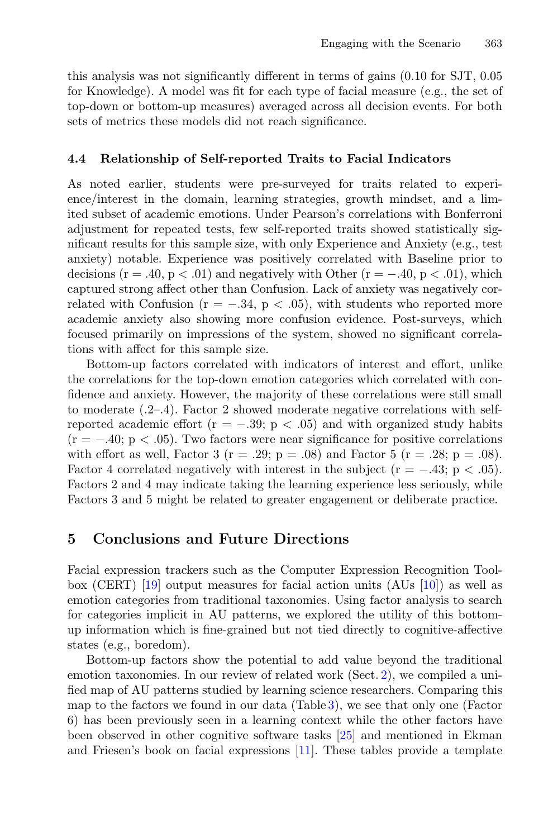this analysis was not significantly different in terms of gains (0.10 for SJT, 0.05 for Knowledge). A model was fit for each type of facial measure (e.g., the set of top-down or bottom-up measures) averaged across all decision events. For both sets of metrics these models did not reach significance.

#### **4.4 Relationship of Self-reported Traits to Facial Indicators**

As noted earlier, students were pre-surveyed for traits related to experience/interest in the domain, learning strategies, growth mindset, and a limited subset of academic emotions. Under Pearson's correlations with Bonferroni adjustment for repeated tests, few self-reported traits showed statistically significant results for this sample size, with only Experience and Anxiety (e.g., test anxiety) notable. Experience was positively correlated with Baseline prior to decisions ( $r = .40$ ,  $p < .01$ ) and negatively with Other ( $r = -.40$ ,  $p < .01$ ), which captured strong affect other than Confusion. Lack of anxiety was negatively correlated with Confusion ( $r = -0.34$ ,  $p < 0.05$ ), with students who reported more academic anxiety also showing more confusion evidence. Post-surveys, which focused primarily on impressions of the system, showed no significant correlations with affect for this sample size.

Bottom-up factors correlated with indicators of interest and effort, unlike the correlations for the top-down emotion categories which correlated with confidence and anxiety. However, the majority of these correlations were still small to moderate (.2–.4). Factor 2 showed moderate negative correlations with selfreported academic effort ( $r = -0.39$ ; p < .05) and with organized study habits  $(r = -0.40; p < 0.05)$ . Two factors were near significance for positive correlations with effort as well, Factor 3 ( $r = .29$ ;  $p = .08$ ) and Factor 5 ( $r = .28$ ;  $p = .08$ ). Factor 4 correlated negatively with interest in the subject  $(r = -0.43; p < 0.05)$ . Factors 2 and 4 may indicate taking the learning experience less seriously, while Factors 3 and 5 might be related to greater engagement or deliberate practice.

## **5 Conclusions and Future Directions**

Facial expression trackers such as the Computer Expression Recognition Tool-box (CERT) [\[19](#page-14-0)] output measures for facial action units  $(AUs [10])$  $(AUs [10])$  $(AUs [10])$  as well as emotion categories from traditional taxonomies. Using factor analysis to search for categories implicit in AU patterns, we explored the utility of this bottomup information which is fine-grained but not tied directly to cognitive-affective states (e.g., boredom).

Bottom-up factors show the potential to add value beyond the traditional emotion taxonomies. In our review of related work (Sect. [2\)](#page-1-0), we compiled a unified map of AU patterns studied by learning science researchers. Comparing this map to the factors we found in our data (Table [3\)](#page-7-0), we see that only one (Factor 6) has been previously seen in a learning context while the other factors have been observed in other cognitive software tasks [\[25](#page-14-11)] and mentioned in Ekman and Friesen's book on facial expressions [\[11](#page-13-12)]. These tables provide a template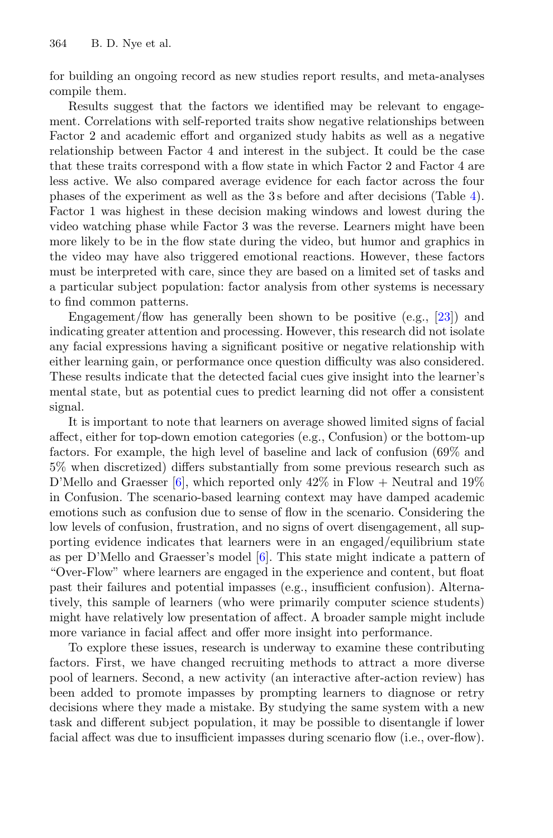for building an ongoing record as new studies report results, and meta-analyses compile them.

Results suggest that the factors we identified may be relevant to engagement. Correlations with self-reported traits show negative relationships between Factor 2 and academic effort and organized study habits as well as a negative relationship between Factor 4 and interest in the subject. It could be the case that these traits correspond with a flow state in which Factor 2 and Factor 4 are less active. We also compared average evidence for each factor across the four phases of the experiment as well as the 3 s before and after decisions (Table [4\)](#page-10-0). Factor 1 was highest in these decision making windows and lowest during the video watching phase while Factor 3 was the reverse. Learners might have been more likely to be in the flow state during the video, but humor and graphics in the video may have also triggered emotional reactions. However, these factors must be interpreted with care, since they are based on a limited set of tasks and a particular subject population: factor analysis from other systems is necessary to find common patterns.

Engagement/flow has generally been shown to be positive  $(e.g., [23])$  $(e.g., [23])$  $(e.g., [23])$  and indicating greater attention and processing. However, this research did not isolate any facial expressions having a significant positive or negative relationship with either learning gain, or performance once question difficulty was also considered. These results indicate that the detected facial cues give insight into the learner's mental state, but as potential cues to predict learning did not offer a consistent signal.

It is important to note that learners on average showed limited signs of facial affect, either for top-down emotion categories (e.g., Confusion) or the bottom-up factors. For example, the high level of baseline and lack of confusion (69% and 5% when discretized) differs substantially from some previous research such as D'Mello and Graesser [\[6\]](#page-13-1), which reported only  $42\%$  in Flow + Neutral and  $19\%$ in Confusion. The scenario-based learning context may have damped academic emotions such as confusion due to sense of flow in the scenario. Considering the low levels of confusion, frustration, and no signs of overt disengagement, all supporting evidence indicates that learners were in an engaged/equilibrium state as per D'Mello and Graesser's model [\[6](#page-13-1)]. This state might indicate a pattern of "Over-Flow" where learners are engaged in the experience and content, but float past their failures and potential impasses (e.g., insufficient confusion). Alternatively, this sample of learners (who were primarily computer science students) might have relatively low presentation of affect. A broader sample might include more variance in facial affect and offer more insight into performance.

To explore these issues, research is underway to examine these contributing factors. First, we have changed recruiting methods to attract a more diverse pool of learners. Second, a new activity (an interactive after-action review) has been added to promote impasses by prompting learners to diagnose or retry decisions where they made a mistake. By studying the same system with a new task and different subject population, it may be possible to disentangle if lower facial affect was due to insufficient impasses during scenario flow (i.e., over-flow).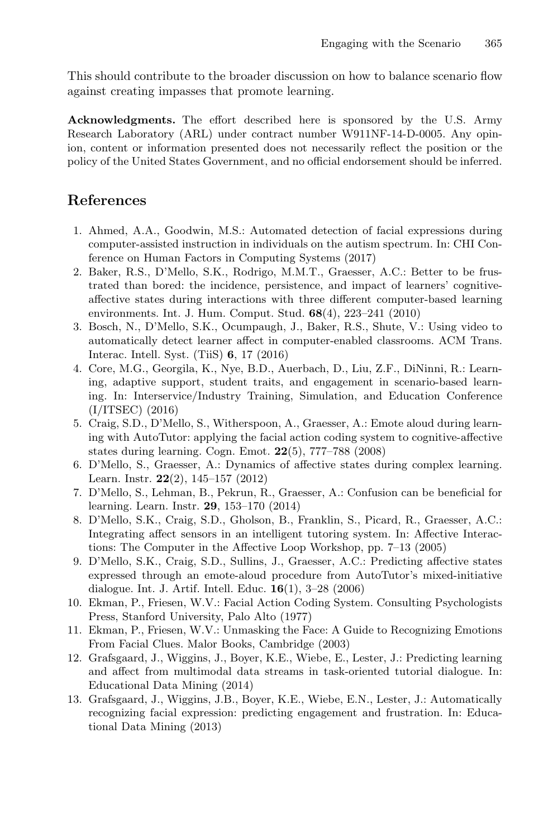This should contribute to the broader discussion on how to balance scenario flow against creating impasses that promote learning.

**Acknowledgments.** The effort described here is sponsored by the U.S. Army Research Laboratory (ARL) under contract number W911NF-14-D-0005. Any opinion, content or information presented does not necessarily reflect the position or the policy of the United States Government, and no official endorsement should be inferred.

# **References**

- <span id="page-13-5"></span>1. Ahmed, A.A., Goodwin, M.S.: Automated detection of facial expressions during computer-assisted instruction in individuals on the autism spectrum. In: CHI Conference on Human Factors in Computing Systems (2017)
- <span id="page-13-0"></span>2. Baker, R.S., D'Mello, S.K., Rodrigo, M.M.T., Graesser, A.C.: Better to be frustrated than bored: the incidence, persistence, and impact of learners' cognitiveaffective states during interactions with three different computer-based learning environments. Int. J. Hum. Comput. Stud. **68**(4), 223–241 (2010)
- <span id="page-13-6"></span>3. Bosch, N., D'Mello, S.K., Ocumpaugh, J., Baker, R.S., Shute, V.: Using video to automatically detect learner affect in computer-enabled classrooms. ACM Trans. Interac. Intell. Syst. (TiiS) **6**, 17 (2016)
- <span id="page-13-11"></span>4. Core, M.G., Georgila, K., Nye, B.D., Auerbach, D., Liu, Z.F., DiNinni, R.: Learning, adaptive support, student traits, and engagement in scenario-based learning. In: Interservice/Industry Training, Simulation, and Education Conference (I/ITSEC) (2016)
- <span id="page-13-9"></span>5. Craig, S.D., D'Mello, S., Witherspoon, A., Graesser, A.: Emote aloud during learning with AutoTutor: applying the facial action coding system to cognitive-affective states during learning. Cogn. Emot. **22**(5), 777–788 (2008)
- <span id="page-13-1"></span>6. D'Mello, S., Graesser, A.: Dynamics of affective states during complex learning. Learn. Instr. **22**(2), 145–157 (2012)
- <span id="page-13-2"></span>7. D'Mello, S., Lehman, B., Pekrun, R., Graesser, A.: Confusion can be beneficial for learning. Learn. Instr. **29**, 153–170 (2014)
- <span id="page-13-7"></span>8. D'Mello, S.K., Craig, S.D., Gholson, B., Franklin, S., Picard, R., Graesser, A.C.: Integrating affect sensors in an intelligent tutoring system. In: Affective Interactions: The Computer in the Affective Loop Workshop, pp. 7–13 (2005)
- <span id="page-13-4"></span>9. D'Mello, S.K., Craig, S.D., Sullins, J., Graesser, A.C.: Predicting affective states expressed through an emote-aloud procedure from AutoTutor's mixed-initiative dialogue. Int. J. Artif. Intell. Educ. **16**(1), 3–28 (2006)
- <span id="page-13-3"></span>10. Ekman, P., Friesen, W.V.: Facial Action Coding System. Consulting Psychologists Press, Stanford University, Palo Alto (1977)
- <span id="page-13-12"></span>11. Ekman, P., Friesen, W.V.: Unmasking the Face: A Guide to Recognizing Emotions From Facial Clues. Malor Books, Cambridge (2003)
- <span id="page-13-8"></span>12. Grafsgaard, J., Wiggins, J., Boyer, K.E., Wiebe, E., Lester, J.: Predicting learning and affect from multimodal data streams in task-oriented tutorial dialogue. In: Educational Data Mining (2014)
- <span id="page-13-10"></span>13. Grafsgaard, J., Wiggins, J.B., Boyer, K.E., Wiebe, E.N., Lester, J.: Automatically recognizing facial expression: predicting engagement and frustration. In: Educational Data Mining (2013)